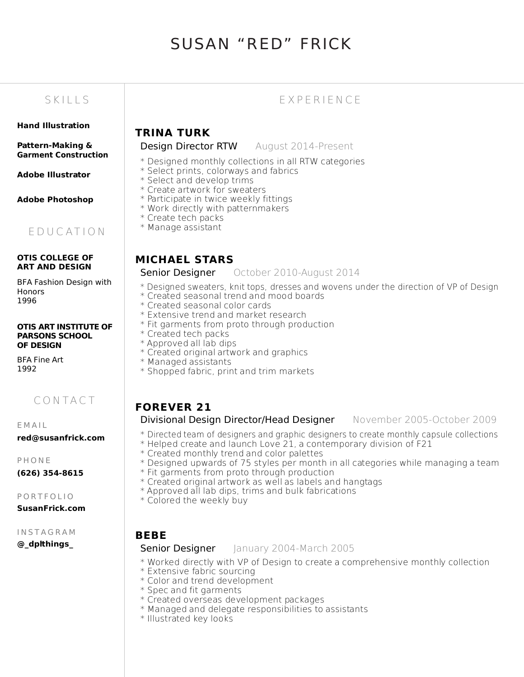# SUSAN "RED" FRICK

#### Hand Illustration

Pattern-Making & Garment Construction

Adobe Illustrator

Adobe Photoshop

## E D U C AT I O N

#### OTIS COLLEGE OF ART AND DESIGN

BFA Fashion Design with **Honors** 1996

#### OTIS ART INSTITUTE OF PARSONS SCHOOL OF DESIGN

BFA Fine Art 1992

C O N TA C T

E M A I L

red@susanfrick.com

**PHONE** 

(626) 354-8615

P O R T F O L I O SusanFrick.com

I N S T A G R A M

@\_dplthings\_

## SK I L S E X P E R I E N C E

## TRINA TURK

#### Design Director RTW August 2014-Present

- \* Designed monthly collections in all RTW categories
- \* Select prints, colorways and fabrics
- \* Select and develop trims
- \* Create artwork for sweaters
- \* Participate in twice weekly fittings
- \* Work directly with patternmakers
- \* Create tech packs
- \* Manage assistant

## MICHAEL STARS

#### **Senior Designer** October 2010-August 2014

- \* Designed sweaters, knit tops, dresses and wovens under the direction of VP of Design
- \* Created seasonal trend and mood boards
- \* Created seasonal color cards
- \* Extensive trend and market research
- \* Fit garments from proto through production
- \* Created tech packs
- \* Approved all lab dips
- \* Created original artwork and graphics
- \* Managed assistants
- \* Shopped fabric, print and trim markets

## FOREVER 21

#### Divisional Design Director/Head Designer November 2005-October 2009

- \* Directed team of designers and graphic designers to create monthly capsule collections
- \* Helped create and launch Love 21, a contemporary division of F21
- \* Created monthly trend and color palettes
- \* Designed upwards of 75 styles per month in all categories while managing a team
- \* Fit garments from proto through production
- \* Created original artwork as well as labels and hangtags
- \* Approved all lab dips, trims and bulk fabrications
- \* Colored the weekly buy

## BEBE

#### **Senior Designer** January 2004-March 2005

- \* Worked directly with VP of Design to create a comprehensive monthly collection
- \* Extensive fabric sourcing
- \* Color and trend development
- \* Spec and fit garments
- \* Created overseas development packages
- $\ast$  Managed and delegate responsibilities to assistants
- \* Illustrated key looks